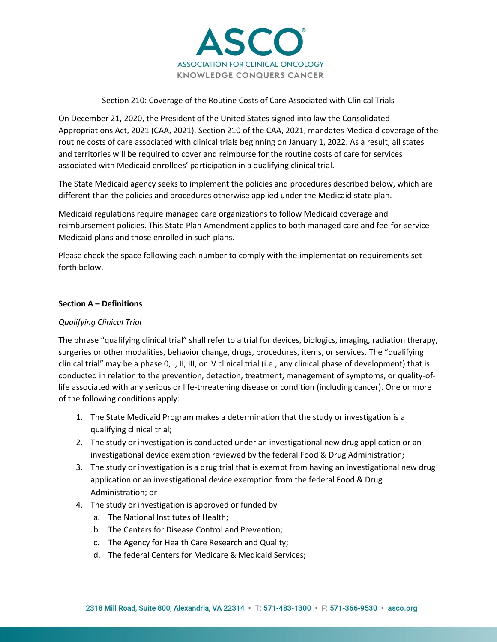

### Section 210: Coverage of the Routine Costs of Care Associated with Clinical Trials

On December 21, 2020, the President of the United States signed into law the Consolidated Appropriations Act, 2021 (CAA, 2021). Section 210 of the CAA, 2021, mandates Medicaid coverage of the routine costs of care associated with clinical trials beginning on January 1, 2022. As a result, all states and territories will be required to cover and reimburse for the routine costs of care for services associated with Medicaid enrollees' participation in a qualifying clinical trial.

The State Medicaid agency seeks to implement the policies and procedures described below, which are different than the policies and procedures otherwise applied under the Medicaid state plan.

Medicaid regulations require managed care organizations to follow Medicaid coverage and reimbursement policies. This State Plan Amendment applies to both managed care and fee-for-service Medicaid plans and those enrolled in such plans.

Please check the space following each number to comply with the implementation requirements set forth below.

### **Section A – Definitions**

### *Qualifying Clinical Trial*

The phrase "qualifying clinical trial" shall refer to a trial for devices, biologics, imaging, radiation therapy, surgeries or other modalities, behavior change, drugs, procedures, items, or services. The "qualifying clinical trial" may be a phase 0, I, II, III, or IV clinical trial (i.e., any clinical phase of development) that is conducted in relation to the prevention, detection, treatment, management of symptoms, or quality-oflife associated with any serious or life-threatening disease or condition (including cancer). One or more of the following conditions apply:

- 1. The State Medicaid Program makes a determination that the study or investigation is a qualifying clinical trial;
- 2. The study or investigation is conducted under an investigational new drug application or an investigational device exemption reviewed by the federal Food & Drug Administration;
- 3. The study or investigation is a drug trial that is exempt from having an investigational new drug application or an investigational device exemption from the federal Food & Drug Administration; or
- 4. The study or investigation is approved or funded by
	- a. The National Institutes of Health;
	- b. The Centers for Disease Control and Prevention;
	- c. The Agency for Health Care Research and Quality;
	- d. The federal Centers for Medicare & Medicaid Services;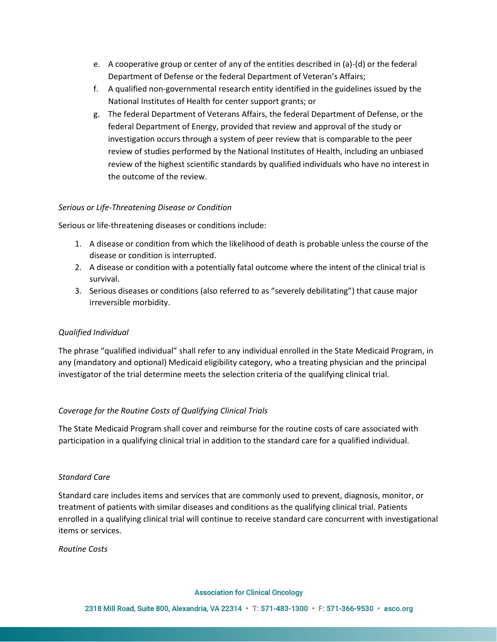- e. A cooperative group or center of any of the entities described in (a)-(d) or the federal Department of Defense or the federal Department of Veteran's Affairs;
- f. A qualified non-governmental research entity identified in the guidelines issued by the National Institutes of Health for center support grants; or
- g. The federal Department of Veterans Affairs, the federal Department of Defense, or the federal Department of Energy, provided that review and approval of the study or investigation occurs through a system of peer review that is comparable to the peer review of studies performed by the National Institutes of Health, including an unbiased review of the highest scientific standards by qualified individuals who have no interest in the outcome of the review.

### *Serious or Life-Threatening Disease or Condition*

Serious or life-threatening diseases or conditions include:

- 1. A disease or condition from which the likelihood of death is probable unless the course of the disease or condition is interrupted.
- 2. A disease or condition with a potentially fatal outcome where the intent of the clinical trial is survival.
- 3. Serious diseases or conditions (also referred to as "severely debilitating") that cause major irreversible morbidity.

# *Qualified Individual*

The phrase "qualified individual" shall refer to any individual enrolled in the State Medicaid Program, in any (mandatory and optional) Medicaid eligibility category, who a treating physician and the principal investigator of the trial determine meets the selection criteria of the qualifying clinical trial.

# *Coverage for the Routine Costs of Qualifying Clinical Trials*

The State Medicaid Program shall cover and reimburse for the routine costs of care associated with participation in a qualifying clinical trial in addition to the standard care for a qualified individual.

### *Standard Care*

Standard care includes items and services that are commonly used to prevent, diagnosis, monitor, or treatment of patients with similar diseases and conditions as the qualifying clinical trial. Patients enrolled in a qualifying clinical trial will continue to receive standard care concurrent with investigational items or services.

*Routine Costs*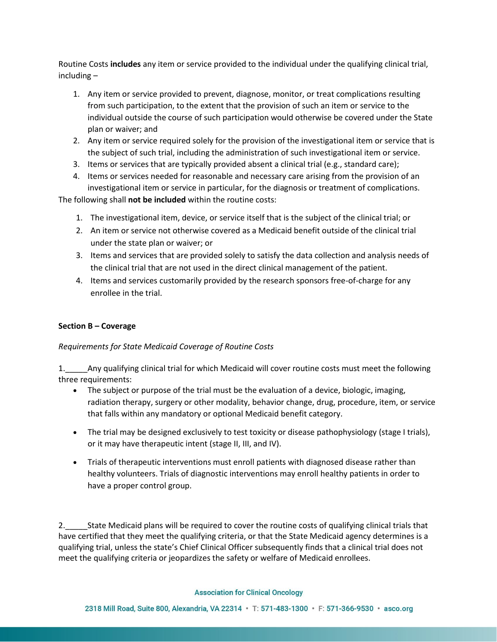Routine Costs **includes** any item or service provided to the individual under the qualifying clinical trial, including –

- 1. Any item or service provided to prevent, diagnose, monitor, or treat complications resulting from such participation, to the extent that the provision of such an item or service to the individual outside the course of such participation would otherwise be covered under the State plan or waiver; and
- 2. Any item or service required solely for the provision of the investigational item or service that is the subject of such trial, including the administration of such investigational item or service.
- 3. Items or services that are typically provided absent a clinical trial (e.g., standard care);
- 4. Items or services needed for reasonable and necessary care arising from the provision of an investigational item or service in particular, for the diagnosis or treatment of complications.

The following shall **not be included** within the routine costs:

- 1. The investigational item, device, or service itself that is the subject of the clinical trial; or
- 2. An item or service not otherwise covered as a Medicaid benefit outside of the clinical trial under the state plan or waiver; or
- 3. Items and services that are provided solely to satisfy the data collection and analysis needs of the clinical trial that are not used in the direct clinical management of the patient.
- 4. Items and services customarily provided by the research sponsors free-of-charge for any enrollee in the trial.

# **Section B – Coverage**

### *Requirements for State Medicaid Coverage of Routine Costs*

1.\_\_\_\_\_Any qualifying clinical trial for which Medicaid will cover routine costs must meet the following three requirements:

- The subject or purpose of the trial must be the evaluation of a device, biologic, imaging, radiation therapy, surgery or other modality, behavior change, drug, procedure, item, or service that falls within any mandatory or optional Medicaid benefit category.
- The trial may be designed exclusively to test toxicity or disease pathophysiology (stage I trials), or it may have therapeutic intent (stage II, III, and IV).
- Trials of therapeutic interventions must enroll patients with diagnosed disease rather than healthy volunteers. Trials of diagnostic interventions may enroll healthy patients in order to have a proper control group.

2. State Medicaid plans will be required to cover the routine costs of qualifying clinical trials that have certified that they meet the qualifying criteria, or that the State Medicaid agency determines is a qualifying trial, unless the state's Chief Clinical Officer subsequently finds that a clinical trial does not meet the qualifying criteria or jeopardizes the safety or welfare of Medicaid enrollees.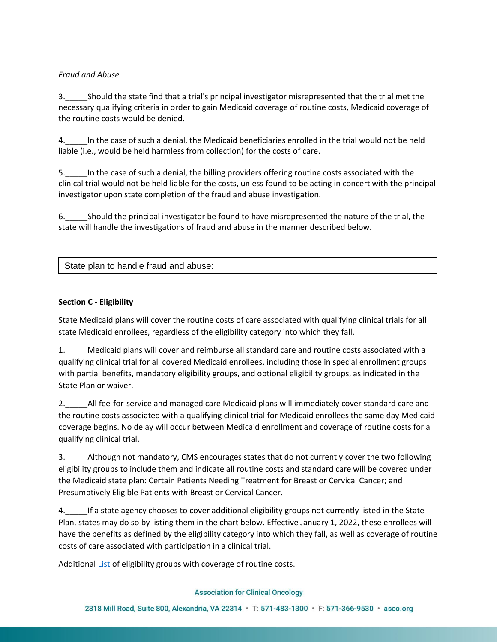## *Fraud and Abuse*

3.\_\_\_\_\_Should the state find that a trial's principal investigator misrepresented that the trial met the necessary qualifying criteria in order to gain Medicaid coverage of routine costs, Medicaid coverage of the routine costs would be denied.

4.\_\_\_\_\_In the case of such a denial, the Medicaid beneficiaries enrolled in the trial would not be held liable (i.e., would be held harmless from collection) for the costs of care.

5.\_\_\_\_\_In the case of such a denial, the billing providers offering routine costs associated with the clinical trial would not be held liable for the costs, unless found to be acting in concert with the principal investigator upon state completion of the fraud and abuse investigation.

6.\_\_\_\_\_Should the principal investigator be found to have misrepresented the nature of the trial, the state will handle the investigations of fraud and abuse in the manner described below.

State plan to handle fraud and abuse:

## **Section C - Eligibility**

State Medicaid plans will cover the routine costs of care associated with qualifying clinical trials for all state Medicaid enrollees, regardless of the eligibility category into which they fall.

1.\_\_\_\_\_Medicaid plans will cover and reimburse all standard care and routine costs associated with a qualifying clinical trial for all covered Medicaid enrollees, including those in special enrollment groups with partial benefits, mandatory eligibility groups, and optional eligibility groups, as indicated in the State Plan or waiver.

2.\_\_\_\_\_All fee-for-service and managed care Medicaid plans will immediately cover standard care and the routine costs associated with a qualifying clinical trial for Medicaid enrollees the same day Medicaid coverage begins. No delay will occur between Medicaid enrollment and coverage of routine costs for a qualifying clinical trial.

3.\_\_\_\_\_Although not mandatory, CMS encourages states that do not currently cover the two following eligibility groups to include them and indicate all routine costs and standard care will be covered under the Medicaid state plan: Certain Patients Needing Treatment for Breast or Cervical Cancer; and Presumptively Eligible Patients with Breast or Cervical Cancer.

4.\_\_\_\_\_If a state agency chooses to cover additional eligibility groups not currently listed in the State Plan, states may do so by listing them in the chart below. Effective January 1, 2022, these enrollees will have the benefits as defined by the eligibility category into which they fall, as well as coverage of routine costs of care associated with participation in a clinical trial.

Additiona[l List](https://www.medicaid.gov/sites/default/files/2019-12/list-of-eligibility-groups.pdf) of eligibility groups with coverage of routine costs.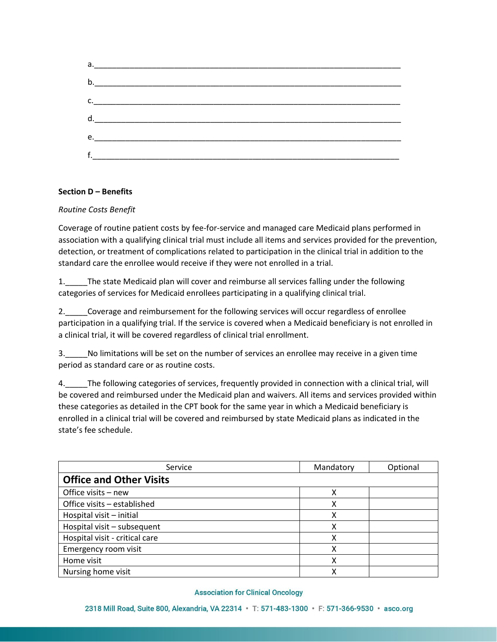

## **Section D – Benefits**

### *Routine Costs Benefit*

Coverage of routine patient costs by fee-for-service and managed care Medicaid plans performed in association with a qualifying clinical trial must include all items and services provided for the prevention, detection, or treatment of complications related to participation in the clinical trial in addition to the standard care the enrollee would receive if they were not enrolled in a trial.

1. The state Medicaid plan will cover and reimburse all services falling under the following categories of services for Medicaid enrollees participating in a qualifying clinical trial.

2.\_\_\_\_\_Coverage and reimbursement for the following services will occur regardless of enrollee participation in a qualifying trial. If the service is covered when a Medicaid beneficiary is not enrolled in a clinical trial, it will be covered regardless of clinical trial enrollment.

3.\_\_\_\_\_No limitations will be set on the number of services an enrollee may receive in a given time period as standard care or as routine costs.

4.\_\_\_\_\_The following categories of services, frequently provided in connection with a clinical trial, will be covered and reimbursed under the Medicaid plan and waivers. All items and services provided within these categories as detailed in the CPT book for the same year in which a Medicaid beneficiary is enrolled in a clinical trial will be covered and reimbursed by state Medicaid plans as indicated in the state's fee schedule.

| Service                        | Mandatory | Optional |
|--------------------------------|-----------|----------|
| <b>Office and Other Visits</b> |           |          |
| Office visits - new            | χ         |          |
| Office visits - established    | χ         |          |
| Hospital visit - initial       | Χ         |          |
| Hospital visit - subsequent    | χ         |          |
| Hospital visit - critical care | χ         |          |
| Emergency room visit           | х         |          |
| Home visit                     | Χ         |          |
| Nursing home visit             | x         |          |

#### **Association for Clinical Oncology**

2318 Mill Road, Suite 800, Alexandria, VA 22314 · T: 571-483-1300 · F: 571-366-9530 · asco.org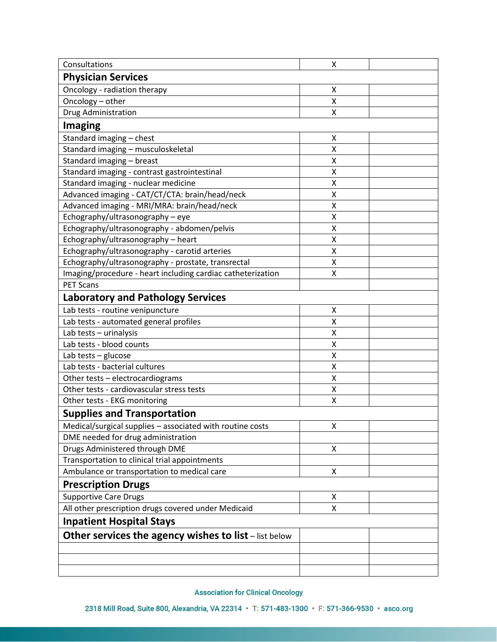| Consultations                                               | X |  |  |
|-------------------------------------------------------------|---|--|--|
| <b>Physician Services</b>                                   |   |  |  |
| Oncology - radiation therapy                                | Χ |  |  |
| Oncology - other                                            | X |  |  |
| Drug Administration                                         | Χ |  |  |
| <b>Imaging</b>                                              |   |  |  |
| Standard imaging - chest                                    | Χ |  |  |
| Standard imaging - musculoskeletal                          | X |  |  |
| Standard imaging - breast                                   | Χ |  |  |
| Standard imaging - contrast gastrointestinal                | Χ |  |  |
| Standard imaging - nuclear medicine                         | X |  |  |
| Advanced imaging - CAT/CT/CTA: brain/head/neck              | Χ |  |  |
| Advanced imaging - MRI/MRA: brain/head/neck                 | Χ |  |  |
| Echography/ultrasonography - eye                            | Χ |  |  |
| Echography/ultrasonography - abdomen/pelvis                 | Χ |  |  |
| Echography/ultrasonography - heart                          | Χ |  |  |
| Echography/ultrasonography - carotid arteries               | X |  |  |
| Echography/ultrasonography - prostate, transrectal          | Χ |  |  |
| Imaging/procedure - heart including cardiac catheterization | Χ |  |  |
| <b>PET Scans</b>                                            |   |  |  |
| <b>Laboratory and Pathology Services</b>                    |   |  |  |
| Lab tests - routine venipuncture                            | Χ |  |  |
| Lab tests - automated general profiles                      | Χ |  |  |
| Lab tests - urinalysis                                      | Χ |  |  |
| Lab tests - blood counts                                    | Χ |  |  |
| Lab tests - glucose                                         | Χ |  |  |
| Lab tests - bacterial cultures                              | Χ |  |  |
| Other tests - electrocardiograms                            | X |  |  |
| Other tests - cardiovascular stress tests                   | Χ |  |  |
| Other tests - EKG monitoring                                | Χ |  |  |
| <b>Supplies and Transportation</b>                          |   |  |  |
| Medical/surgical supplies - associated with routine costs   | Χ |  |  |
| DME needed for drug administration                          |   |  |  |
| Drugs Administered through DME                              | Χ |  |  |
| Transportation to clinical trial appointments               |   |  |  |
| Ambulance or transportation to medical care                 | Χ |  |  |
| <b>Prescription Drugs</b>                                   |   |  |  |
| <b>Supportive Care Drugs</b>                                | Χ |  |  |
| All other prescription drugs covered under Medicaid         | Χ |  |  |
|                                                             |   |  |  |
| <b>Inpatient Hospital Stays</b>                             |   |  |  |
| Other services the agency wishes to list - list below       |   |  |  |
|                                                             |   |  |  |
|                                                             |   |  |  |
|                                                             |   |  |  |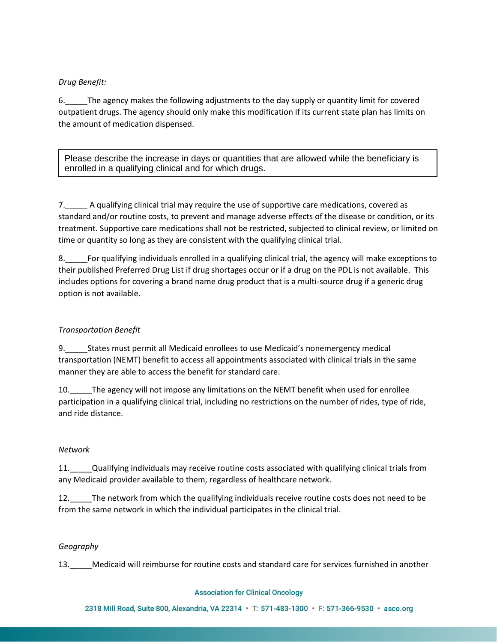# *Drug Benefit:*

6.\_\_\_\_\_The agency makes the following adjustments to the day supply or quantity limit for covered outpatient drugs. The agency should only make this modification if its current state plan has limits on the amount of medication dispensed.

Please describe the increase in days or quantities that are allowed while the beneficiary is enrolled in a qualifying clinical and for which drugs.

7.\_\_\_\_\_ A qualifying clinical trial may require the use of supportive care medications, covered as standard and/or routine costs, to prevent and manage adverse effects of the disease or condition, or its treatment. Supportive care medications shall not be restricted, subjected to clinical review, or limited on time or quantity so long as they are consistent with the qualifying clinical trial.

8.\_\_\_\_\_For qualifying individuals enrolled in a qualifying clinical trial, the agency will make exceptions to their published Preferred Drug List if drug shortages occur or if a drug on the PDL is not available. This includes options for covering a brand name drug product that is a multi-source drug if a generic drug option is not available.

# *Transportation Benefit*

9. States must permit all Medicaid enrollees to use Medicaid's nonemergency medical transportation (NEMT) benefit to access all appointments associated with clinical trials in the same manner they are able to access the benefit for standard care.

10.\_\_\_\_\_The agency will not impose any limitations on the NEMT benefit when used for enrollee participation in a qualifying clinical trial, including no restrictions on the number of rides, type of ride, and ride distance.

# *Network*

11.\_\_\_\_\_Qualifying individuals may receive routine costs associated with qualifying clinical trials from any Medicaid provider available to them, regardless of healthcare network.

12.\_\_\_\_\_The network from which the qualifying individuals receive routine costs does not need to be from the same network in which the individual participates in the clinical trial.

# *Geography*

13.\_\_\_\_\_Medicaid will reimburse for routine costs and standard care for services furnished in another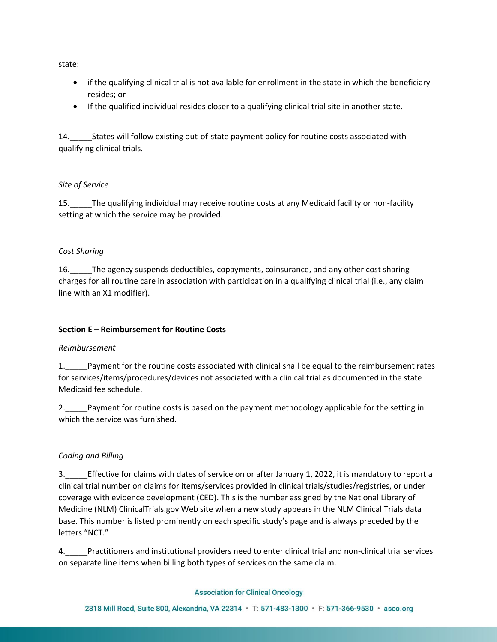state:

- if the qualifying clinical trial is not available for enrollment in the state in which the beneficiary resides; or
- If the qualified individual resides closer to a qualifying clinical trial site in another state.

14. States will follow existing out-of-state payment policy for routine costs associated with qualifying clinical trials.

## *Site of Service*

15.\_\_\_\_\_The qualifying individual may receive routine costs at any Medicaid facility or non-facility setting at which the service may be provided.

## *Cost Sharing*

16.\_\_\_\_\_The agency suspends deductibles, copayments, coinsurance, and any other cost sharing charges for all routine care in association with participation in a qualifying clinical trial (i.e., any claim line with an X1 modifier).

# **Section E – Reimbursement for Routine Costs**

### *Reimbursement*

1.\_\_\_\_\_Payment for the routine costs associated with clinical shall be equal to the reimbursement rates for services/items/procedures/devices not associated with a clinical trial as documented in the state Medicaid fee schedule.

2. Payment for routine costs is based on the payment methodology applicable for the setting in which the service was furnished.

# *Coding and Billing*

3.\_\_\_\_\_Effective for claims with dates of service on or after January 1, 2022, it is mandatory to report a clinical trial number on claims for items/services provided in clinical trials/studies/registries, or under coverage with evidence development (CED). This is the number assigned by the National Library of Medicine (NLM) ClinicalTrials.gov Web site when a new study appears in the NLM Clinical Trials data base. This number is listed prominently on each specific study's page and is always preceded by the letters "NCT."

4.\_\_\_\_\_Practitioners and institutional providers need to enter clinical trial and non-clinical trial services on separate line items when billing both types of services on the same claim.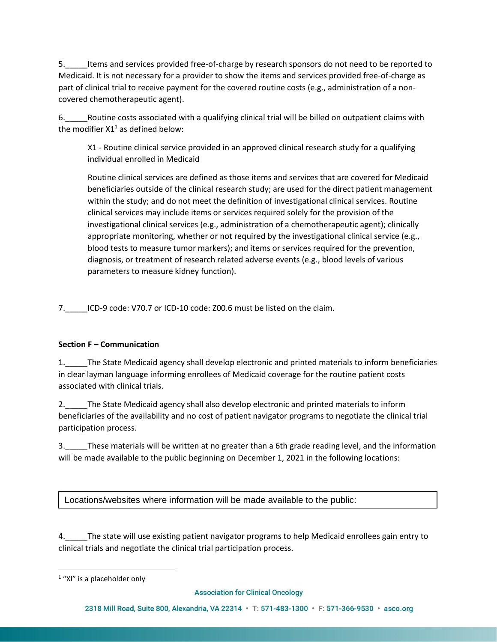5.\_\_\_\_\_Items and services provided free-of-charge by research sponsors do not need to be reported to Medicaid. It is not necessary for a provider to show the items and services provided free-of-charge as part of clinical trial to receive payment for the covered routine costs (e.g., administration of a noncovered chemotherapeutic agent).

6.\_\_\_\_\_Routine costs associated with a qualifying clinical trial will be billed on outpatient claims with the modifier  $X1<sup>1</sup>$  as defined below:

X1 - Routine clinical service provided in an approved clinical research study for a qualifying individual enrolled in Medicaid

Routine clinical services are defined as those items and services that are covered for Medicaid beneficiaries outside of the clinical research study; are used for the direct patient management within the study; and do not meet the definition of investigational clinical services. Routine clinical services may include items or services required solely for the provision of the investigational clinical services (e.g., administration of a chemotherapeutic agent); clinically appropriate monitoring, whether or not required by the investigational clinical service (e.g., blood tests to measure tumor markers); and items or services required for the prevention, diagnosis, or treatment of research related adverse events (e.g., blood levels of various parameters to measure kidney function).

7.\_\_\_\_\_ICD-9 code: V70.7 or ICD-10 code: Z00.6 must be listed on the claim.

# **Section F – Communication**

1.\_\_\_\_\_The State Medicaid agency shall develop electronic and printed materials to inform beneficiaries in clear layman language informing enrollees of Medicaid coverage for the routine patient costs associated with clinical trials.

2.\_\_\_\_\_The State Medicaid agency shall also develop electronic and printed materials to inform beneficiaries of the availability and no cost of patient navigator programs to negotiate the clinical trial participation process.

3.\_\_\_\_\_These materials will be written at no greater than a 6th grade reading level, and the information will be made available to the public beginning on December 1, 2021 in the following locations:

Locations/websites where information will be made available to the public:

4.\_\_\_\_\_The state will use existing patient navigator programs to help Medicaid enrollees gain entry to clinical trials and negotiate the clinical trial participation process.

 $1$  "XI" is a placeholder only